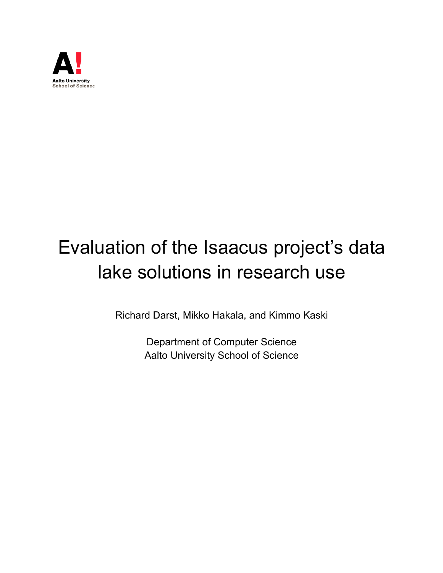

# Evaluation of the Isaacus project's data lake solutions in research use

Richard Darst, Mikko Hakala, and Kimmo Kaski

Department of Computer Science Aalto University School of Science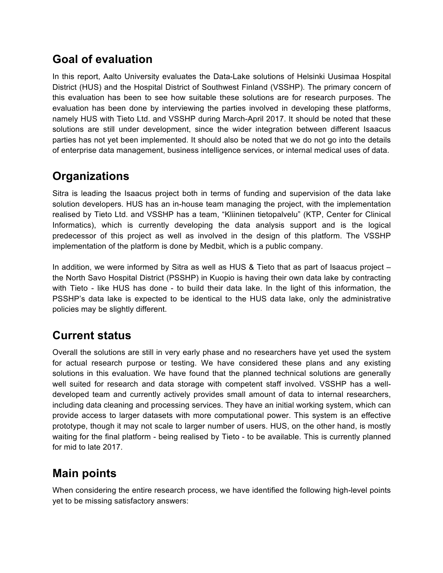## **Goal of evaluation**

In this report, Aalto University evaluates the Data-Lake solutions of Helsinki Uusimaa Hospital District (HUS) and the Hospital District of Southwest Finland (VSSHP). The primary concern of this evaluation has been to see how suitable these solutions are for research purposes. The evaluation has been done by interviewing the parties involved in developing these platforms, namely HUS with Tieto Ltd. and VSSHP during March-April 2017. It should be noted that these solutions are still under development, since the wider integration between different Isaacus parties has not yet been implemented. It should also be noted that we do not go into the details of enterprise data management, business intelligence services, or internal medical uses of data.

## **Organizations**

Sitra is leading the Isaacus project both in terms of funding and supervision of the data lake solution developers. HUS has an in-house team managing the project, with the implementation realised by Tieto Ltd. and VSSHP has a team, "Kliininen tietopalvelu" (KTP, Center for Clinical Informatics), which is currently developing the data analysis support and is the logical predecessor of this project as well as involved in the design of this platform. The VSSHP implementation of the platform is done by Medbit, which is a public company.

In addition, we were informed by Sitra as well as HUS & Tieto that as part of Isaacus project – the North Savo Hospital District (PSSHP) in Kuopio is having their own data lake by contracting with Tieto - like HUS has done - to build their data lake. In the light of this information, the PSSHP's data lake is expected to be identical to the HUS data lake, only the administrative policies may be slightly different.

## **Current status**

Overall the solutions are still in very early phase and no researchers have yet used the system for actual research purpose or testing. We have considered these plans and any existing solutions in this evaluation. We have found that the planned technical solutions are generally well suited for research and data storage with competent staff involved. VSSHP has a welldeveloped team and currently actively provides small amount of data to internal researchers, including data cleaning and processing services. They have an initial working system, which can provide access to larger datasets with more computational power. This system is an effective prototype, though it may not scale to larger number of users. HUS, on the other hand, is mostly waiting for the final platform - being realised by Tieto - to be available. This is currently planned for mid to late 2017.

## **Main points**

When considering the entire research process, we have identified the following high-level points yet to be missing satisfactory answers: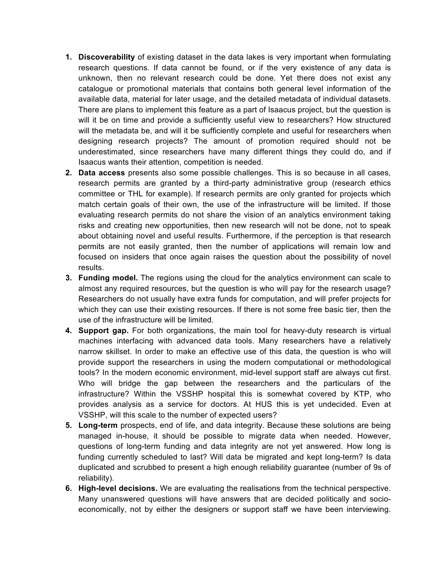- **1. Discoverability** of existing dataset in the data lakes is very important when formulating research questions. If data cannot be found, or if the very existence of any data is unknown, then no relevant research could be done. Yet there does not exist any catalogue or promotional materials that contains both general level information of the available data, material for later usage, and the detailed metadata of individual datasets. There are plans to implement this feature as a part of Isaacus project, but the question is will it be on time and provide a sufficiently useful view to researchers? How structured will the metadata be, and will it be sufficiently complete and useful for researchers when designing research projects? The amount of promotion required should not be underestimated, since researchers have many different things they could do, and if Isaacus wants their attention, competition is needed.
- **2. Data access** presents also some possible challenges. This is so because in all cases, research permits are granted by a third-party administrative group (research ethics committee or THL for example). If research permits are only granted for projects which match certain goals of their own, the use of the infrastructure will be limited. If those evaluating research permits do not share the vision of an analytics environment taking risks and creating new opportunities, then new research will not be done, not to speak about obtaining novel and useful results. Furthermore, if the perception is that research permits are not easily granted, then the number of applications will remain low and focused on insiders that once again raises the question about the possibility of novel results.
- **3. Funding model.** The regions using the cloud for the analytics environment can scale to almost any required resources, but the question is who will pay for the research usage? Researchers do not usually have extra funds for computation, and will prefer projects for which they can use their existing resources. If there is not some free basic tier, then the use of the infrastructure will be limited.
- **4. Support gap.** For both organizations, the main tool for heavy-duty research is virtual machines interfacing with advanced data tools. Many researchers have a relatively narrow skillset. In order to make an effective use of this data, the question is who will provide support the researchers in using the modern computational or methodological tools? In the modern economic environment, mid-level support staff are always cut first. Who will bridge the gap between the researchers and the particulars of the infrastructure? Within the VSSHP hospital this is somewhat covered by KTP, who provides analysis as a service for doctors. At HUS this is yet undecided. Even at VSSHP, will this scale to the number of expected users?
- **5. Long-term** prospects, end of life, and data integrity. Because these solutions are being managed in-house, it should be possible to migrate data when needed. However, questions of long-term funding and data integrity are not yet answered. How long is funding currently scheduled to last? Will data be migrated and kept long-term? Is data duplicated and scrubbed to present a high enough reliability guarantee (number of 9s of reliability).
- **6. High-level decisions.** We are evaluating the realisations from the technical perspective. Many unanswered questions will have answers that are decided politically and socioeconomically, not by either the designers or support staff we have been interviewing.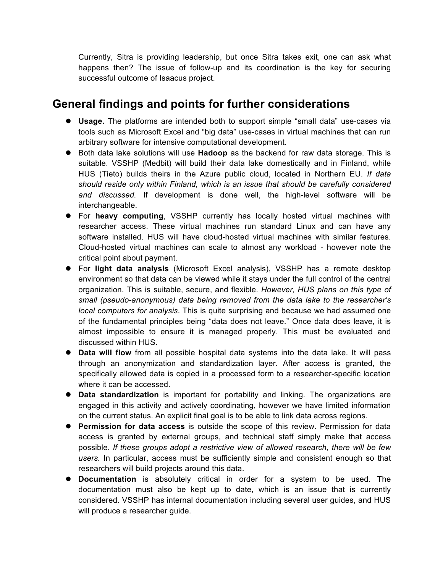Currently, Sitra is providing leadership, but once Sitra takes exit, one can ask what happens then? The issue of follow-up and its coordination is the key for securing successful outcome of Isaacus project.

#### **General findings and points for further considerations**

- **.** Usage. The platforms are intended both to support simple "small data" use-cases via tools such as Microsoft Excel and "big data" use-cases in virtual machines that can run arbitrary software for intensive computational development.
- **•** Both data lake solutions will use **Hadoop** as the backend for raw data storage. This is suitable. VSSHP (Medbit) will build their data lake domestically and in Finland, while HUS (Tieto) builds theirs in the Azure public cloud, located in Northern EU. *If data should reside only within Finland, which is an issue that should be carefully considered and discussed.* If development is done well, the high-level software will be interchangeable.
- **•** For heavy computing, VSSHP currently has locally hosted virtual machines with researcher access. These virtual machines run standard Linux and can have any software installed. HUS will have cloud-hosted virtual machines with similar features. Cloud-hosted virtual machines can scale to almost any workload - however note the critical point about payment.
- **•** For light data analysis (Microsoft Excel analysis), VSSHP has a remote desktop environment so that data can be viewed while it stays under the full control of the central organization. This is suitable, secure, and flexible. *However, HUS plans on this type of small (pseudo-anonymous) data being removed from the data lake to the researcher's local computers for analysis*. This is quite surprising and because we had assumed one of the fundamental principles being "data does not leave." Once data does leave, it is almost impossible to ensure it is managed properly. This must be evaluated and discussed within HUS.
- **Data will flow** from all possible hospital data systems into the data lake. It will pass through an anonymization and standardization layer. After access is granted, the specifically allowed data is copied in a processed form to a researcher-specific location where it can be accessed.
- **Data standardization** is important for portability and linking. The organizations are engaged in this activity and actively coordinating, however we have limited information on the current status. An explicit final goal is to be able to link data across regions.
- **Permission for data access** is outside the scope of this review. Permission for data access is granted by external groups, and technical staff simply make that access possible. *If these groups adopt a restrictive view of allowed research, there will be few users.* In particular, access must be sufficiently simple and consistent enough so that researchers will build projects around this data.
- **Documentation** is absolutely critical in order for a system to be used. The documentation must also be kept up to date, which is an issue that is currently considered. VSSHP has internal documentation including several user guides, and HUS will produce a researcher guide.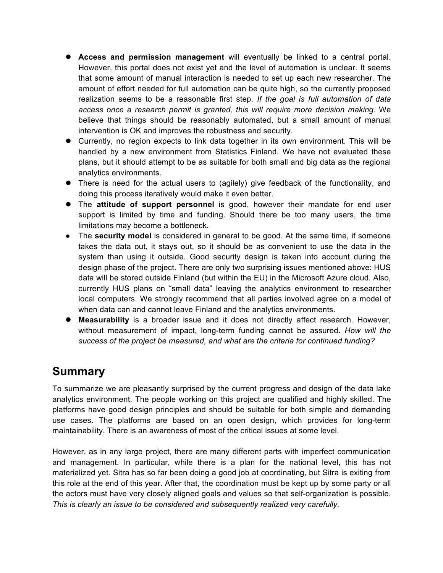- **Access and permission management** will eventually be linked to a central portal. However, this portal does not exist yet and the level of automation is unclear. It seems that some amount of manual interaction is needed to set up each new researcher. The amount of effort needed for full automation can be quite high, so the currently proposed realization seems to be a reasonable first step. *If the goal is full automation of data access once a research permit is granted, this will require more decision making.* We believe that things should be reasonably automated, but a small amount of manual intervention is OK and improves the robustness and security.
- Currently, no region expects to link data together in its own environment. This will be handled by a new environment from Statistics Finland. We have not evaluated these plans, but it should attempt to be as suitable for both small and big data as the regional analytics environments.
- There is need for the actual users to (agilely) give feedback of the functionality, and doing this process iteratively would make it even better.
- **•** The attitude of support personnel is good, however their mandate for end user support is limited by time and funding. Should there be too many users, the time limitations may become a bottleneck.
- The **security model** is considered in general to be good. At the same time, if someone takes the data out, it stays out, so it should be as convenient to use the data in the system than using it outside. Good security design is taken into account during the design phase of the project. There are only two surprising issues mentioned above: HUS data will be stored outside Finland (but within the EU) in the Microsoft Azure cloud. Also, currently HUS plans on "small data" leaving the analytics environment to researcher local computers. We strongly recommend that all parties involved agree on a model of when data can and cannot leave Finland and the analytics environments.
- **Measurability** is a broader issue and it does not directly affect research. However, without measurement of impact, long-term funding cannot be assured. *How will the success of the project be measured, and what are the criteria for continued funding?*

## **Summary**

To summarize we are pleasantly surprised by the current progress and design of the data lake analytics environment. The people working on this project are qualified and highly skilled. The platforms have good design principles and should be suitable for both simple and demanding use cases. The platforms are based on an open design, which provides for long-term maintainability. There is an awareness of most of the critical issues at some level.

However, as in any large project, there are many different parts with imperfect communication and management. In particular, while there is a plan for the national level, this has not materialized yet. Sitra has so far been doing a good job at coordinating, but Sitra is exiting from this role at the end of this year. After that, the coordination must be kept up by some party or all the actors must have very closely aligned goals and values so that self-organization is possible. *This is clearly an issue to be considered and subsequently realized very carefully.*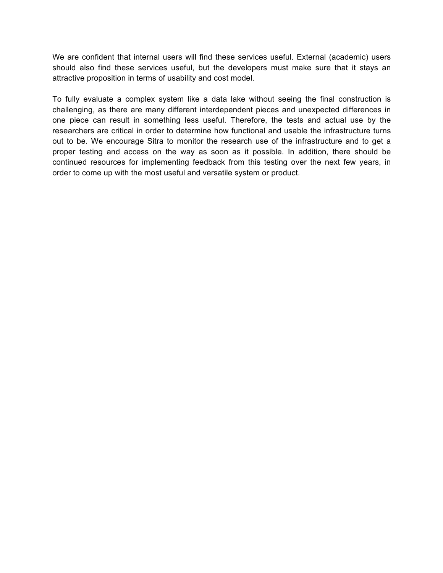We are confident that internal users will find these services useful. External (academic) users should also find these services useful, but the developers must make sure that it stays an attractive proposition in terms of usability and cost model.

To fully evaluate a complex system like a data lake without seeing the final construction is challenging, as there are many different interdependent pieces and unexpected differences in one piece can result in something less useful. Therefore, the tests and actual use by the researchers are critical in order to determine how functional and usable the infrastructure turns out to be. We encourage Sitra to monitor the research use of the infrastructure and to get a proper testing and access on the way as soon as it possible. In addition, there should be continued resources for implementing feedback from this testing over the next few years, in order to come up with the most useful and versatile system or product.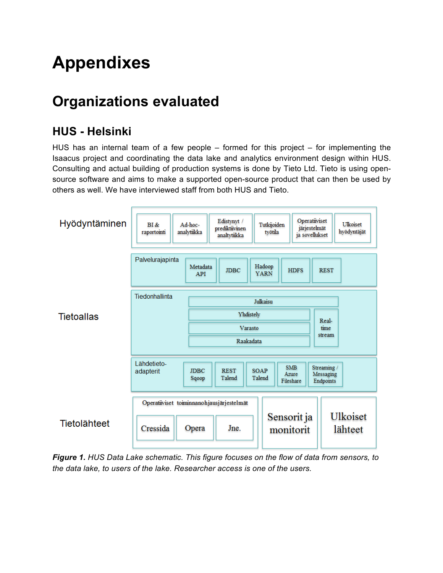# **Appendixes**

## **Organizations evaluated**

## **HUS - Helsinki**

HUS has an internal team of a few people – formed for this project – for implementing the Isaacus project and coordinating the data lake and analytics environment design within HUS. Consulting and actual building of production systems is done by Tieto Ltd. Tieto is using opensource software and aims to make a supported open-source product that can then be used by others as well. We have interviewed staff from both HUS and Tieto.



*Figure 1. HUS Data Lake schematic. This figure focuses on the flow of data from sensors, to the data lake, to users of the lake. Researcher access is one of the users.*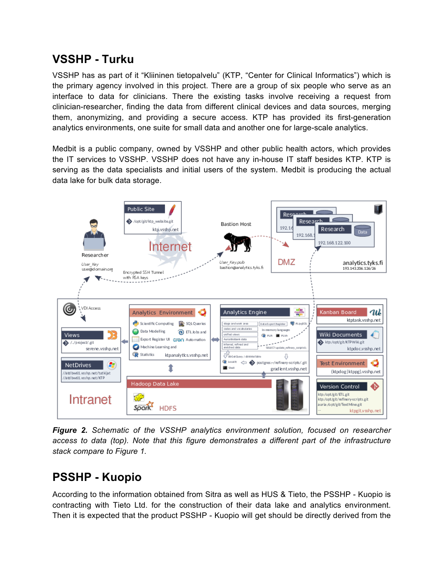## **VSSHP - Turku**

VSSHP has as part of it "Kliininen tietopalvelu" (KTP, "Center for Clinical Informatics") which is the primary agency involved in this project. There are a group of six people who serve as an interface to data for clinicians. There the existing tasks involve receiving a request from clinician-researcher, finding the data from different clinical devices and data sources, merging them, anonymizing, and providing a secure access. KTP has provided its first-generation analytics environments, one suite for small data and another one for large-scale analytics.

Medbit is a public company, owned by VSSHP and other public health actors, which provides the IT services to VSSHP. VSSHP does not have any in-house IT staff besides KTP. KTP is serving as the data specialists and initial users of the system. Medbit is producing the actual data lake for bulk data storage.



*Figure 2. Schematic of the VSSHP analytics environment solution, focused on researcher access to data (top). Note that this figure demonstrates a different part of the infrastructure stack compare to Figure 1.*

## **PSSHP - Kuopio**

According to the information obtained from Sitra as well as HUS & Tieto, the PSSHP - Kuopio is contracting with Tieto Ltd. for the construction of their data lake and analytics environment. Then it is expected that the product PSSHP - Kuopio will get should be directly derived from the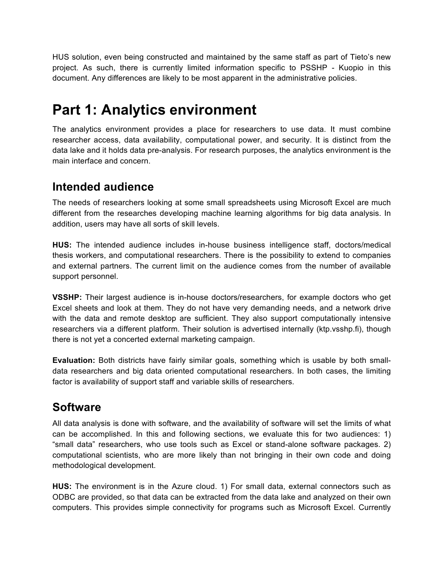HUS solution, even being constructed and maintained by the same staff as part of Tieto's new project. As such, there is currently limited information specific to PSSHP - Kuopio in this document. Any differences are likely to be most apparent in the administrative policies.

## **Part 1: Analytics environment**

The analytics environment provides a place for researchers to use data. It must combine researcher access, data availability, computational power, and security. It is distinct from the data lake and it holds data pre-analysis. For research purposes, the analytics environment is the main interface and concern.

#### **Intended audience**

The needs of researchers looking at some small spreadsheets using Microsoft Excel are much different from the researches developing machine learning algorithms for big data analysis. In addition, users may have all sorts of skill levels.

**HUS:** The intended audience includes in-house business intelligence staff, doctors/medical thesis workers, and computational researchers. There is the possibility to extend to companies and external partners. The current limit on the audience comes from the number of available support personnel.

**VSSHP:** Their largest audience is in-house doctors/researchers, for example doctors who get Excel sheets and look at them. They do not have very demanding needs, and a network drive with the data and remote desktop are sufficient. They also support computationally intensive researchers via a different platform. Their solution is advertised internally (ktp.vsshp.fi), though there is not yet a concerted external marketing campaign.

**Evaluation:** Both districts have fairly similar goals, something which is usable by both smalldata researchers and big data oriented computational researchers. In both cases, the limiting factor is availability of support staff and variable skills of researchers.

## **Software**

All data analysis is done with software, and the availability of software will set the limits of what can be accomplished. In this and following sections, we evaluate this for two audiences: 1) "small data" researchers, who use tools such as Excel or stand-alone software packages. 2) computational scientists, who are more likely than not bringing in their own code and doing methodological development.

**HUS:** The environment is in the Azure cloud. 1) For small data, external connectors such as ODBC are provided, so that data can be extracted from the data lake and analyzed on their own computers. This provides simple connectivity for programs such as Microsoft Excel. Currently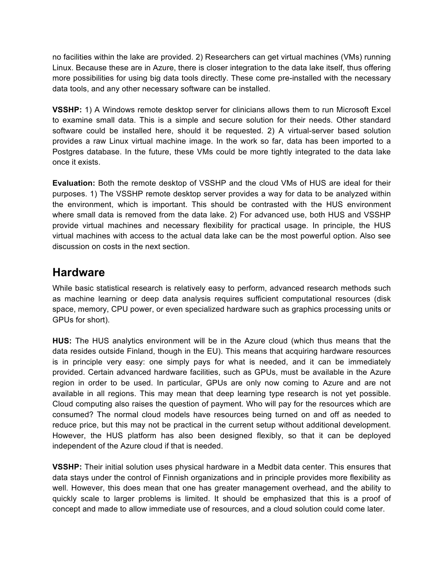no facilities within the lake are provided. 2) Researchers can get virtual machines (VMs) running Linux. Because these are in Azure, there is closer integration to the data lake itself, thus offering more possibilities for using big data tools directly. These come pre-installed with the necessary data tools, and any other necessary software can be installed.

**VSSHP:** 1) A Windows remote desktop server for clinicians allows them to run Microsoft Excel to examine small data. This is a simple and secure solution for their needs. Other standard software could be installed here, should it be requested. 2) A virtual-server based solution provides a raw Linux virtual machine image. In the work so far, data has been imported to a Postgres database. In the future, these VMs could be more tightly integrated to the data lake once it exists.

**Evaluation:** Both the remote desktop of VSSHP and the cloud VMs of HUS are ideal for their purposes. 1) The VSSHP remote desktop server provides a way for data to be analyzed within the environment, which is important. This should be contrasted with the HUS environment where small data is removed from the data lake. 2) For advanced use, both HUS and VSSHP provide virtual machines and necessary flexibility for practical usage. In principle, the HUS virtual machines with access to the actual data lake can be the most powerful option. Also see discussion on costs in the next section.

#### **Hardware**

While basic statistical research is relatively easy to perform, advanced research methods such as machine learning or deep data analysis requires sufficient computational resources (disk space, memory, CPU power, or even specialized hardware such as graphics processing units or GPUs for short).

**HUS:** The HUS analytics environment will be in the Azure cloud (which thus means that the data resides outside Finland, though in the EU). This means that acquiring hardware resources is in principle very easy: one simply pays for what is needed, and it can be immediately provided. Certain advanced hardware facilities, such as GPUs, must be available in the Azure region in order to be used. In particular, GPUs are only now coming to Azure and are not available in all regions. This may mean that deep learning type research is not yet possible. Cloud computing also raises the question of payment. Who will pay for the resources which are consumed? The normal cloud models have resources being turned on and off as needed to reduce price, but this may not be practical in the current setup without additional development. However, the HUS platform has also been designed flexibly, so that it can be deployed independent of the Azure cloud if that is needed.

**VSSHP:** Their initial solution uses physical hardware in a Medbit data center. This ensures that data stays under the control of Finnish organizations and in principle provides more flexibility as well. However, this does mean that one has greater management overhead, and the ability to quickly scale to larger problems is limited. It should be emphasized that this is a proof of concept and made to allow immediate use of resources, and a cloud solution could come later.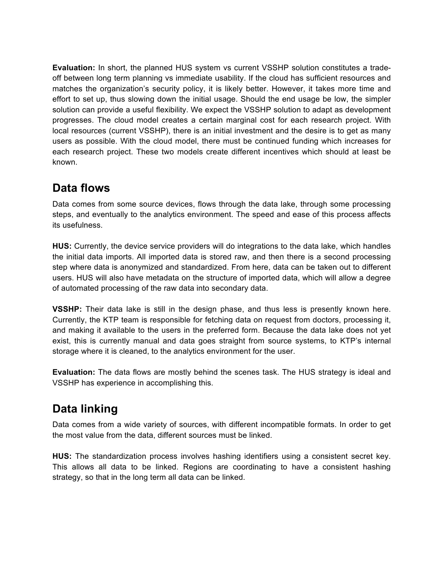**Evaluation:** In short, the planned HUS system vs current VSSHP solution constitutes a tradeoff between long term planning vs immediate usability. If the cloud has sufficient resources and matches the organization's security policy, it is likely better. However, it takes more time and effort to set up, thus slowing down the initial usage. Should the end usage be low, the simpler solution can provide a useful flexibility. We expect the VSSHP solution to adapt as development progresses. The cloud model creates a certain marginal cost for each research project. With local resources (current VSSHP), there is an initial investment and the desire is to get as many users as possible. With the cloud model, there must be continued funding which increases for each research project. These two models create different incentives which should at least be known.

## **Data flows**

Data comes from some source devices, flows through the data lake, through some processing steps, and eventually to the analytics environment. The speed and ease of this process affects its usefulness.

**HUS:** Currently, the device service providers will do integrations to the data lake, which handles the initial data imports. All imported data is stored raw, and then there is a second processing step where data is anonymized and standardized. From here, data can be taken out to different users. HUS will also have metadata on the structure of imported data, which will allow a degree of automated processing of the raw data into secondary data.

**VSSHP:** Their data lake is still in the design phase, and thus less is presently known here. Currently, the KTP team is responsible for fetching data on request from doctors, processing it, and making it available to the users in the preferred form. Because the data lake does not yet exist, this is currently manual and data goes straight from source systems, to KTP's internal storage where it is cleaned, to the analytics environment for the user.

**Evaluation:** The data flows are mostly behind the scenes task. The HUS strategy is ideal and VSSHP has experience in accomplishing this.

## **Data linking**

Data comes from a wide variety of sources, with different incompatible formats. In order to get the most value from the data, different sources must be linked.

**HUS:** The standardization process involves hashing identifiers using a consistent secret key. This allows all data to be linked. Regions are coordinating to have a consistent hashing strategy, so that in the long term all data can be linked.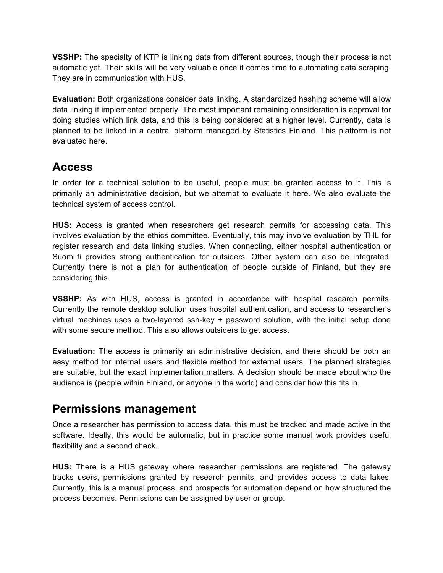**VSSHP:** The specialty of KTP is linking data from different sources, though their process is not automatic yet. Their skills will be very valuable once it comes time to automating data scraping. They are in communication with HUS.

**Evaluation:** Both organizations consider data linking. A standardized hashing scheme will allow data linking if implemented properly. The most important remaining consideration is approval for doing studies which link data, and this is being considered at a higher level. Currently, data is planned to be linked in a central platform managed by Statistics Finland. This platform is not evaluated here.

## **Access**

In order for a technical solution to be useful, people must be granted access to it. This is primarily an administrative decision, but we attempt to evaluate it here. We also evaluate the technical system of access control.

**HUS:** Access is granted when researchers get research permits for accessing data. This involves evaluation by the ethics committee. Eventually, this may involve evaluation by THL for register research and data linking studies. When connecting, either hospital authentication or Suomi.fi provides strong authentication for outsiders. Other system can also be integrated. Currently there is not a plan for authentication of people outside of Finland, but they are considering this.

**VSSHP:** As with HUS, access is granted in accordance with hospital research permits. Currently the remote desktop solution uses hospital authentication, and access to researcher's virtual machines uses a two-layered ssh-key + password solution, with the initial setup done with some secure method. This also allows outsiders to get access.

**Evaluation:** The access is primarily an administrative decision, and there should be both an easy method for internal users and flexible method for external users. The planned strategies are suitable, but the exact implementation matters. A decision should be made about who the audience is (people within Finland, or anyone in the world) and consider how this fits in.

#### **Permissions management**

Once a researcher has permission to access data, this must be tracked and made active in the software. Ideally, this would be automatic, but in practice some manual work provides useful flexibility and a second check.

**HUS:** There is a HUS gateway where researcher permissions are registered. The gateway tracks users, permissions granted by research permits, and provides access to data lakes. Currently, this is a manual process, and prospects for automation depend on how structured the process becomes. Permissions can be assigned by user or group.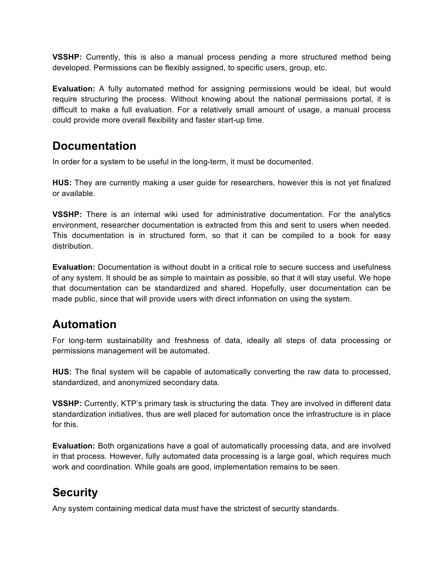**VSSHP:** Currently, this is also a manual process pending a more structured method being developed. Permissions can be flexibly assigned, to specific users, group, etc.

**Evaluation:** A fully automated method for assigning permissions would be ideal, but would require structuring the process. Without knowing about the national permissions portal, it is difficult to make a full evaluation. For a relatively small amount of usage, a manual process could provide more overall flexibility and faster start-up time.

#### **Documentation**

In order for a system to be useful in the long-term, it must be documented.

**HUS:** They are currently making a user guide for researchers, however this is not yet finalized or available.

**VSSHP:** There is an internal wiki used for administrative documentation. For the analytics environment, researcher documentation is extracted from this and sent to users when needed. This documentation is in structured form, so that it can be compiled to a book for easy distribution.

**Evaluation:** Documentation is without doubt in a critical role to secure success and usefulness of any system. It should be as simple to maintain as possible, so that it will stay useful. We hope that documentation can be standardized and shared. Hopefully, user documentation can be made public, since that will provide users with direct information on using the system.

## **Automation**

For long-term sustainability and freshness of data, ideally all steps of data processing or permissions management will be automated.

**HUS:** The final system will be capable of automatically converting the raw data to processed, standardized, and anonymized secondary data.

**VSSHP:** Currently, KTP's primary task is structuring the data. They are involved in different data standardization initiatives, thus are well placed for automation once the infrastructure is in place for this.

**Evaluation:** Both organizations have a goal of automatically processing data, and are involved in that process. However, fully automated data processing is a large goal, which requires much work and coordination. While goals are good, implementation remains to be seen.

## **Security**

Any system containing medical data must have the strictest of security standards.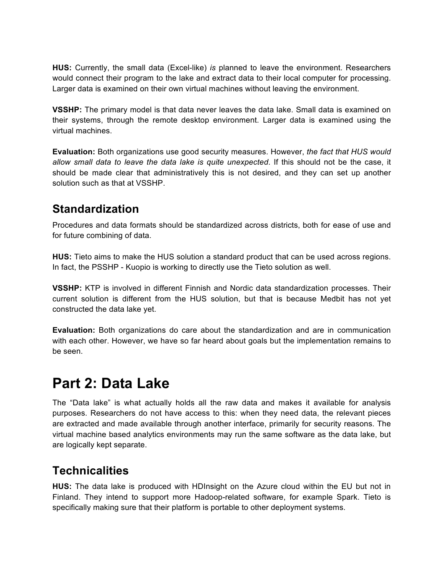**HUS:** Currently, the small data (Excel-like) *is* planned to leave the environment. Researchers would connect their program to the lake and extract data to their local computer for processing. Larger data is examined on their own virtual machines without leaving the environment.

**VSSHP:** The primary model is that data never leaves the data lake. Small data is examined on their systems, through the remote desktop environment. Larger data is examined using the virtual machines.

**Evaluation:** Both organizations use good security measures. However, *the fact that HUS would allow small data to leave the data lake is quite unexpected*. If this should not be the case, it should be made clear that administratively this is not desired, and they can set up another solution such as that at VSSHP.

## **Standardization**

Procedures and data formats should be standardized across districts, both for ease of use and for future combining of data.

**HUS:** Tieto aims to make the HUS solution a standard product that can be used across regions. In fact, the PSSHP - Kuopio is working to directly use the Tieto solution as well.

**VSSHP:** KTP is involved in different Finnish and Nordic data standardization processes. Their current solution is different from the HUS solution, but that is because Medbit has not yet constructed the data lake yet.

**Evaluation:** Both organizations do care about the standardization and are in communication with each other. However, we have so far heard about goals but the implementation remains to be seen.

# **Part 2: Data Lake**

The "Data lake" is what actually holds all the raw data and makes it available for analysis purposes. Researchers do not have access to this: when they need data, the relevant pieces are extracted and made available through another interface, primarily for security reasons. The virtual machine based analytics environments may run the same software as the data lake, but are logically kept separate.

## **Technicalities**

**HUS:** The data lake is produced with HDInsight on the Azure cloud within the EU but not in Finland. They intend to support more Hadoop-related software, for example Spark. Tieto is specifically making sure that their platform is portable to other deployment systems.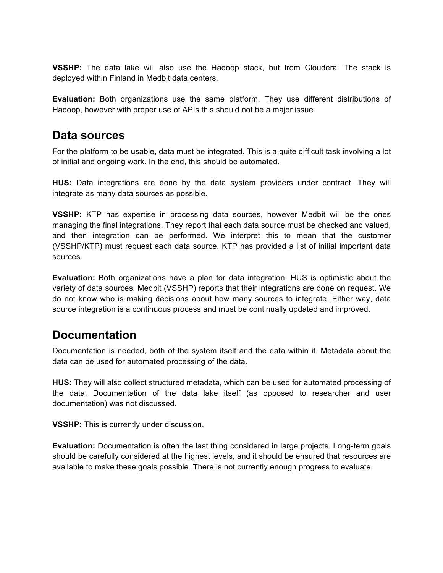**VSSHP:** The data lake will also use the Hadoop stack, but from Cloudera. The stack is deployed within Finland in Medbit data centers.

**Evaluation:** Both organizations use the same platform. They use different distributions of Hadoop, however with proper use of APIs this should not be a major issue.

#### **Data sources**

For the platform to be usable, data must be integrated. This is a quite difficult task involving a lot of initial and ongoing work. In the end, this should be automated.

**HUS:** Data integrations are done by the data system providers under contract. They will integrate as many data sources as possible.

**VSSHP:** KTP has expertise in processing data sources, however Medbit will be the ones managing the final integrations. They report that each data source must be checked and valued, and then integration can be performed. We interpret this to mean that the customer (VSSHP/KTP) must request each data source. KTP has provided a list of initial important data sources.

**Evaluation:** Both organizations have a plan for data integration. HUS is optimistic about the variety of data sources. Medbit (VSSHP) reports that their integrations are done on request. We do not know who is making decisions about how many sources to integrate. Either way, data source integration is a continuous process and must be continually updated and improved.

## **Documentation**

Documentation is needed, both of the system itself and the data within it. Metadata about the data can be used for automated processing of the data.

**HUS:** They will also collect structured metadata, which can be used for automated processing of the data. Documentation of the data lake itself (as opposed to researcher and user documentation) was not discussed.

**VSSHP:** This is currently under discussion.

**Evaluation:** Documentation is often the last thing considered in large projects. Long-term goals should be carefully considered at the highest levels, and it should be ensured that resources are available to make these goals possible. There is not currently enough progress to evaluate.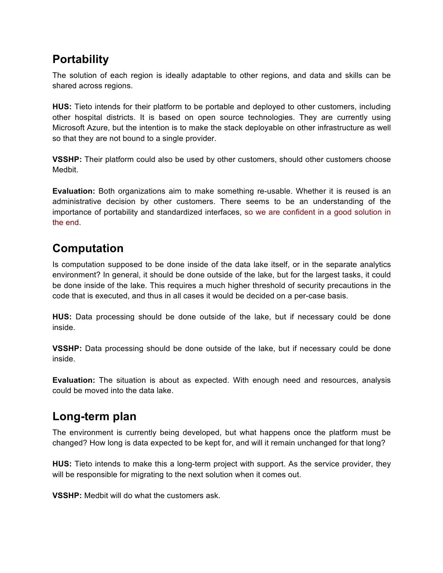## **Portability**

The solution of each region is ideally adaptable to other regions, and data and skills can be shared across regions.

**HUS:** Tieto intends for their platform to be portable and deployed to other customers, including other hospital districts. It is based on open source technologies. They are currently using Microsoft Azure, but the intention is to make the stack deployable on other infrastructure as well so that they are not bound to a single provider.

**VSSHP:** Their platform could also be used by other customers, should other customers choose Medbit.

**Evaluation:** Both organizations aim to make something re-usable. Whether it is reused is an administrative decision by other customers. There seems to be an understanding of the importance of portability and standardized interfaces, so we are confident in a good solution in the end.

## **Computation**

Is computation supposed to be done inside of the data lake itself, or in the separate analytics environment? In general, it should be done outside of the lake, but for the largest tasks, it could be done inside of the lake. This requires a much higher threshold of security precautions in the code that is executed, and thus in all cases it would be decided on a per-case basis.

**HUS:** Data processing should be done outside of the lake, but if necessary could be done inside.

**VSSHP:** Data processing should be done outside of the lake, but if necessary could be done inside.

**Evaluation:** The situation is about as expected. With enough need and resources, analysis could be moved into the data lake.

## **Long-term plan**

The environment is currently being developed, but what happens once the platform must be changed? How long is data expected to be kept for, and will it remain unchanged for that long?

**HUS:** Tieto intends to make this a long-term project with support. As the service provider, they will be responsible for migrating to the next solution when it comes out.

**VSSHP:** Medbit will do what the customers ask.